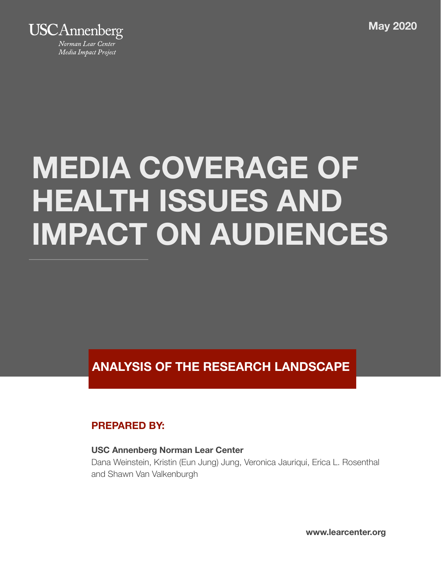**Media Coverage of Health Issues May 2020**



# **MEDIA COVERAGE OF HEALTH ISSUES AND IMPACT ON AUDIENCES**

**ANALYSIS OF THE RESEARCH LANDSCAPE** 

### **PREPARED BY:**

#### **USC Annenberg Norman Lear Center**

Dana Weinstein, Kristin (Eun Jung) Jung, Veronica Jauriqui, Erica L. Rosenthal and Shawn Van Valkenburgh

Analysis of the Research Landscape page 1 and  $\mathcal{A}_\text{R}$  the Research Landscape page 1 and  $\mathcal{A}_\text{R}$ **www.learcenter.org**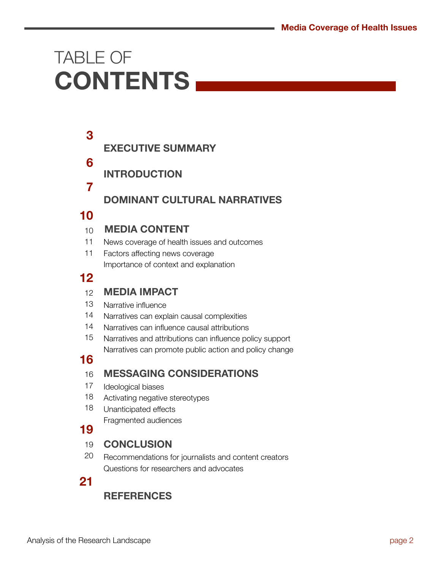### TABLE OF **CONTENTS**

#### **EXECUTIVE SUMMARY 3**

- **INTRODUCTION**
- **7**

**6** 

### **DOMINANT CULTURAL NARRATIVES**

### **10**

#### **MEDIA CONTENT**   $10$

- News coverage of health issues and outcomes 11
- Factors affecting news coverage Importance of context and explanation 11

### **12**

#### **MEDIA IMPACT**  12

- Narrative influence 13
- Narratives can explain causal complexities 14
- Narratives can influence causal attributions 14
- Narratives and attributions can influence policy support Narratives can promote public action and policy change 15

### **16**

#### **MESSAGING CONSIDERATIONS**  16

- Ideological biases 17
- Activating negative stereotypes 18
- Unanticipated effects Fragmented audiences 18

### **19**

#### **CONCLUSION**  19

Recommendations for journalists and content creators Questions for researchers and advocates 20

### **21**

### **REFERENCES**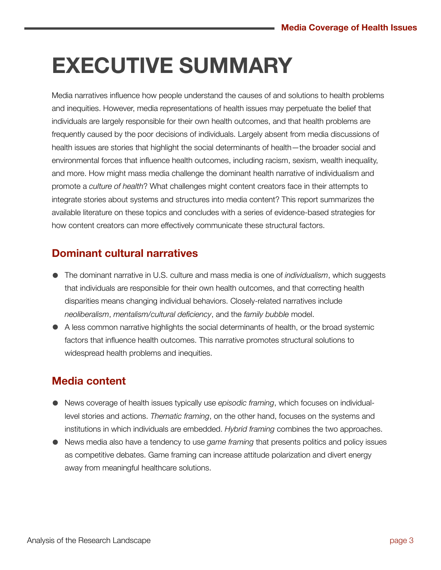### **EXECUTIVE SUMMARY**

Media narratives influence how people understand the causes of and solutions to health problems and inequities. However, media representations of health issues may perpetuate the belief that individuals are largely responsible for their own health outcomes, and that health problems are frequently caused by the poor decisions of individuals. Largely absent from media discussions of health issues are stories that highlight the social determinants of health—the broader social and environmental forces that influence health outcomes, including racism, sexism, wealth inequality, and more. How might mass media challenge the dominant health narrative of individualism and promote a *culture of health*? What challenges might content creators face in their attempts to integrate stories about systems and structures into media content? This report summarizes the available literature on these topics and concludes with a series of evidence-based strategies for how content creators can more effectively communicate these structural factors.

### **Dominant cultural narratives**

- The dominant narrative in U.S. culture and mass media is one of *individualism*, which suggests that individuals are responsible for their own health outcomes, and that correcting health disparities means changing individual behaviors. Closely-related narratives include *neoliberalism*, *mentalism/cultural deficiency*, and the *family bubble* model.
- A less common narrative highlights the social determinants of health, or the broad systemic factors that influence health outcomes. This narrative promotes structural solutions to widespread health problems and inequities.

### **Media content**

- News coverage of health issues typically use *episodic framing*, which focuses on individuallevel stories and actions. *Thematic framing*, on the other hand, focuses on the systems and institutions in which individuals are embedded. *Hybrid framing* combines the two approaches.
- News media also have a tendency to use *game framing* that presents politics and policy issues as competitive debates. Game framing can increase attitude polarization and divert energy away from meaningful healthcare solutions.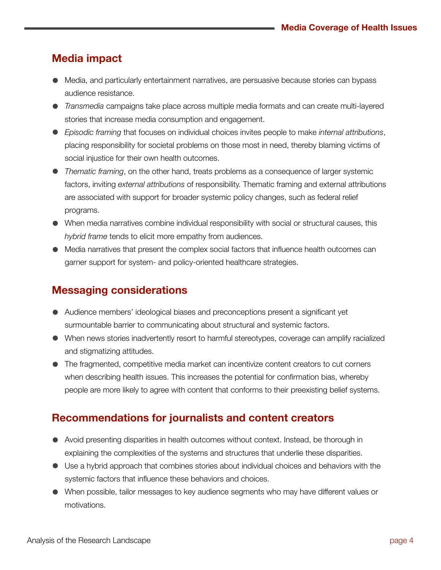### **Media impact**

- Media, and particularly entertainment narratives, are persuasive because stories can bypass audience resistance.
- *Transmedia* campaigns take place across multiple media formats and can create multi-layered stories that increase media consumption and engagement.
- *Episodic framing* that focuses on individual choices invites people to make *internal attributions*, placing responsibility for societal problems on those most in need, thereby blaming victims of social injustice for their own health outcomes.
- *Thematic framing*, on the other hand, treats problems as a consequence of larger systemic factors, inviting *external attributions* of responsibility. Thematic framing and external attributions are associated with support for broader systemic policy changes, such as federal relief programs.
- When media narratives combine individual responsibility with social or structural causes, this *hybrid frame* tends to elicit more empathy from audiences.
- Media narratives that present the complex social factors that influence health outcomes can garner support for system- and policy-oriented healthcare strategies.

### **Messaging considerations**

- Audience members' ideological biases and preconceptions present a significant yet surmountable barrier to communicating about structural and systemic factors.
- When news stories inadvertently resort to harmful stereotypes, coverage can amplify racialized and stigmatizing attitudes.
- The fragmented, competitive media market can incentivize content creators to cut corners when describing health issues. This increases the potential for confirmation bias, whereby people are more likely to agree with content that conforms to their preexisting belief systems.

### **Recommendations for journalists and content creators**

- Avoid presenting disparities in health outcomes without context. Instead, be thorough in explaining the complexities of the systems and structures that underlie these disparities.
- Use a hybrid approach that combines stories about individual choices and behaviors with the systemic factors that influence these behaviors and choices.
- When possible, tailor messages to key audience segments who may have different values or motivations.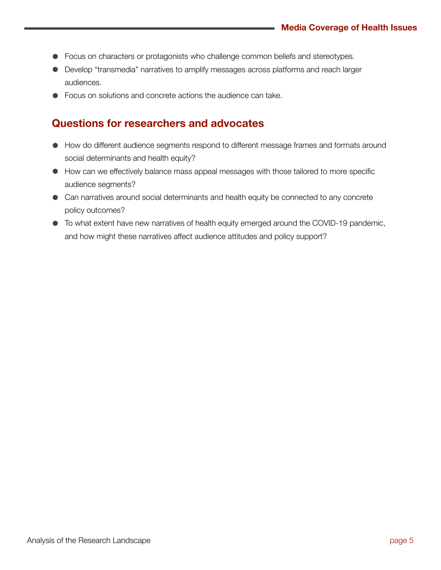- Focus on characters or protagonists who challenge common beliefs and stereotypes.
- Develop "transmedia" narratives to amplify messages across platforms and reach larger audiences.
- Focus on solutions and concrete actions the audience can take.

### **Questions for researchers and advocates**

- How do different audience segments respond to different message frames and formats around social determinants and health equity?
- How can we effectively balance mass appeal messages with those tailored to more specific audience segments?
- Can narratives around social determinants and health equity be connected to any concrete policy outcomes?
- To what extent have new narratives of health equity emerged around the COVID-19 pandemic, and how might these narratives affect audience attitudes and policy support?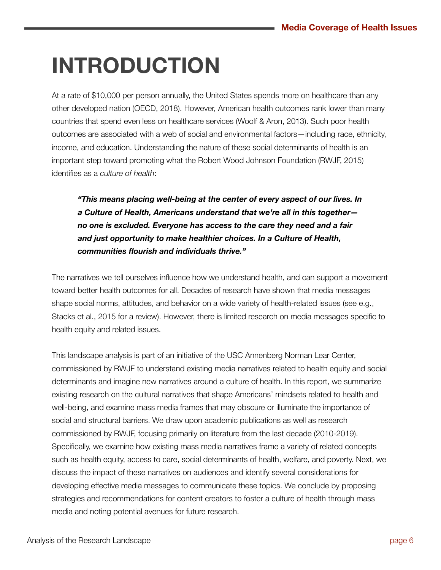### **INTRODUCTION**

At a rate of \$10,000 per person annually, the United States spends more on healthcare than any other developed nation (OECD, 2018). However, American health outcomes rank lower than many countries that spend even less on healthcare services (Woolf & Aron, 2013). Such poor health outcomes are associated with a web of social and environmental factors—including race, ethnicity, income, and education. Understanding the nature of these social determinants of health is an important step toward promoting what the Robert Wood Johnson Foundation (RWJF, 2015) identifies as a *culture of health*:

*"This means placing well-being at the center of every aspect of our lives. In a Culture of Health, Americans understand that we're all in this together no one is excluded. Everyone has access to the care they need and a fair and just opportunity to make healthier choices. In a Culture of Health, communities flourish and individuals thrive."*

The narratives we tell ourselves influence how we understand health, and can support a movement toward better health outcomes for all. Decades of research have shown that media messages shape social norms, attitudes, and behavior on a wide variety of health-related issues (see e.g., Stacks et al., 2015 for a review). However, there is limited research on media messages specific to health equity and related issues.

This landscape analysis is part of an initiative of the USC Annenberg Norman Lear Center, commissioned by RWJF to understand existing media narratives related to health equity and social determinants and imagine new narratives around a culture of health. In this report, we summarize existing research on the cultural narratives that shape Americans' mindsets related to health and well-being, and examine mass media frames that may obscure or illuminate the importance of social and structural barriers. We draw upon academic publications as well as research commissioned by RWJF, focusing primarily on literature from the last decade (2010-2019). Specifically, we examine how existing mass media narratives frame a variety of related concepts such as health equity, access to care, social determinants of health, welfare, and poverty. Next, we discuss the impact of these narratives on audiences and identify several considerations for developing effective media messages to communicate these topics. We conclude by proposing strategies and recommendations for content creators to foster a culture of health through mass media and noting potential avenues for future research.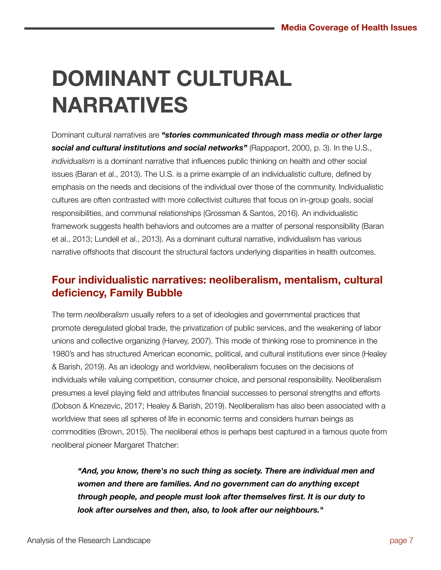## **DOMINANT CULTURAL NARRATIVES**

Dominant cultural narratives are *"stories communicated through mass media or other large social and cultural institutions and social networks"* (Rappaport, 2000, p. 3). In the U.S., *individualism* is a dominant narrative that influences public thinking on health and other social issues (Baran et al., 2013). The U.S. is a prime example of an individualistic culture, defined by emphasis on the needs and decisions of the individual over those of the community. Individualistic cultures are often contrasted with more collectivist cultures that focus on in-group goals, social responsibilities, and communal relationships (Grossman & Santos, 2016). An individualistic framework suggests health behaviors and outcomes are a matter of personal responsibility (Baran et al., 2013; Lundell et al., 2013). As a dominant cultural narrative, individualism has various narrative offshoots that discount the structural factors underlying disparities in health outcomes.

### **Four individualistic narratives: neoliberalism, mentalism, cultural deficiency, Family Bubble**

The term *neoliberalism* usually refers to a set of ideologies and governmental practices that promote deregulated global trade, the privatization of public services, and the weakening of labor unions and collective organizing (Harvey, 2007). This mode of thinking rose to prominence in the 1980's and has structured American economic, political, and cultural institutions ever since (Healey & Barish, 2019). As an ideology and worldview, neoliberalism focuses on the decisions of individuals while valuing competition, consumer choice, and personal responsibility. Neoliberalism presumes a level playing field and attributes financial successes to personal strengths and efforts (Dobson & Knezevic, 2017; Healey & Barish, 2019). Neoliberalism has also been associated with a worldview that sees all spheres of life in economic terms and considers human beings as commodities (Brown, 2015). The neoliberal ethos is perhaps best captured in a famous quote from neoliberal pioneer Margaret Thatcher:

*"And, you know, there's no such thing as society. There are individual men and women and there are families. And no government can do anything except through people, and people must look after themselves first. It is our duty to look after ourselves and then, also, to look after our neighbours."*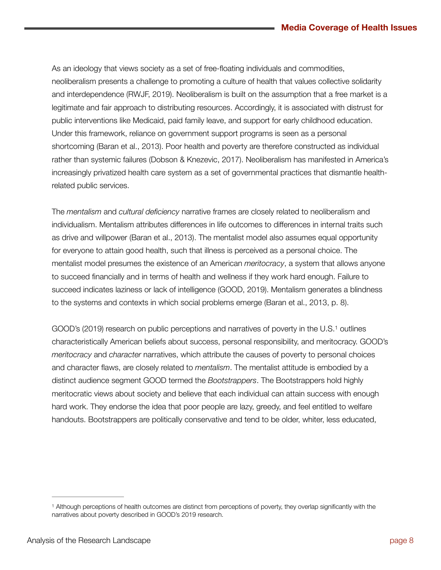As an ideology that views society as a set of free-floating individuals and commodities, neoliberalism presents a challenge to promoting a culture of health that values collective solidarity and interdependence (RWJF, 2019). Neoliberalism is built on the assumption that a free market is a legitimate and fair approach to distributing resources. Accordingly, it is associated with distrust for public interventions like Medicaid, paid family leave, and support for early childhood education. Under this framework, reliance on government support programs is seen as a personal shortcoming (Baran et al., 2013). Poor health and poverty are therefore constructed as individual rather than systemic failures (Dobson & Knezevic, 2017). Neoliberalism has manifested in America's increasingly privatized health care system as a set of governmental practices that dismantle healthrelated public services.

The *mentalism* and *cultural deficiency* narrative frames are closely related to neoliberalism and individualism. Mentalism attributes differences in life outcomes to differences in internal traits such as drive and willpower (Baran et al., 2013). The mentalist model also assumes equal opportunity for everyone to attain good health, such that illness is perceived as a personal choice. The mentalist model presumes the existence of an American *meritocracy*, a system that allows anyone to succeed financially and in terms of health and wellness if they work hard enough. Failure to succeed indicates laziness or lack of intelligence (GOOD, 2019). Mentalism generates a blindness to the systems and contexts in which social problems emerge (Baran et al., 2013, p. 8).

<span id="page-7-1"></span>GOOD's (2019) research on public perceptions and narratives of poverty in the U[.](#page-7-0)S.<sup>[1](#page-7-0)</sup> outlines characteristically American beliefs about success, personal responsibility, and meritocracy. GOOD's *meritocracy* and *character* narratives, which attribute the causes of poverty to personal choices and character flaws, are closely related to *mentalism*. The mentalist attitude is embodied by a distinct audience segment GOOD termed the *Bootstrappers*. The Bootstrappers hold highly meritocratic views about society and believe that each individual can attain success with enough hard work. They endorse the idea that poor people are lazy, greedy, and feel entitled to welfare handouts. Bootstrappers are politically conservative and tend to be older, whiter, less educated,

<span id="page-7-0"></span><sup>&</sup>lt;sup>[1](#page-7-1)</sup> Although perceptions of health outcomes are distinct from perceptions of poverty, they overlap significantly with the narratives about poverty described in GOOD's 2019 research.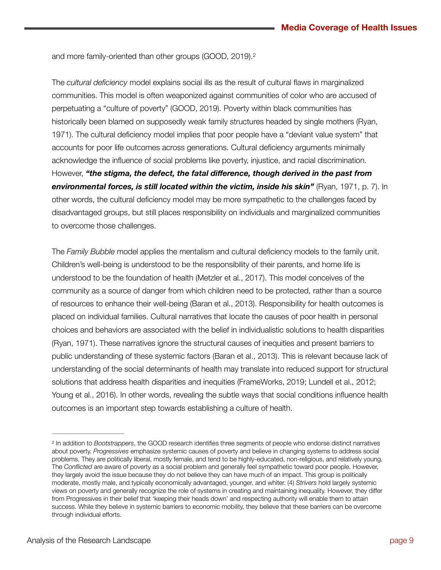<span id="page-8-1"></span>and more family-oriented than other groups (GOOD, 2019)[.2](#page-8-0)

The *cultural deficiency* model explains social ills as the result of cultural flaws in marginalized communities. This model is often weaponized against communities of color who are accused of perpetuating a "culture of poverty" (GOOD, 2019). Poverty within black communities has historically been blamed on supposedly weak family structures headed by single mothers (Ryan, 1971). The cultural deficiency model implies that poor people have a "deviant value system" that accounts for poor life outcomes across generations. Cultural deficiency arguments minimally acknowledge the influence of social problems like poverty, injustice, and racial discrimination. However, *"the stigma, the defect, the fatal difference, though derived in the past from environmental forces, is still located within the victim, inside his skin"* (Ryan, 1971, p. 7). In other words, the cultural deficiency model may be more sympathetic to the challenges faced by disadvantaged groups, but still places responsibility on individuals and marginalized communities to overcome those challenges.

The *Family Bubble* model applies the mentalism and cultural deficiency models to the family unit. Children's well-being is understood to be the responsibility of their parents, and home life is understood to be the foundation of health (Metzler et al., 2017). This model conceives of the community as a source of danger from which children need to be protected, rather than a source of resources to enhance their well-being (Baran et al., 2013). Responsibility for health outcomes is placed on individual families. Cultural narratives that locate the causes of poor health in personal choices and behaviors are associated with the belief in individualistic solutions to health disparities (Ryan, 1971). These narratives ignore the structural causes of inequities and present barriers to public understanding of these systemic factors (Baran et al., 2013). This is relevant because lack of understanding of the social determinants of health may translate into reduced support for structural solutions that address health disparities and inequities (FrameWorks, 2019; Lundell et al., 2012; Young et al., 2016). In other words, revealing the subtle ways that social conditions influence health outcomes is an important step towards establishing a culture of health.

<span id="page-8-0"></span><sup>&</sup>lt;sup>[2](#page-8-1)</sup> In addition to *Bootstrappers*, the GOOD research identifies three segments of people who endorse distinct narratives about poverty. *Progressives* emphasize systemic causes of poverty and believe in changing systems to address social problems. They are politically liberal, mostly female, and tend to be highly-educated, non-religious, and relatively young. The *Conflicted* are aware of poverty as a social problem and generally feel sympathetic toward poor people. However, they largely avoid the issue because they do not believe they can have much of an impact. This group is politically moderate, mostly male, and typically economically advantaged, younger, and whiter. (4) *Strivers* hold largely systemic views on poverty and generally recognize the role of systems in creating and maintaining inequality. However, they differ from Progressives in their belief that 'keeping their heads down' and respecting authority will enable them to attain success. While they believe in systemic barriers to economic mobility, they believe that these barriers can be overcome through individual efforts.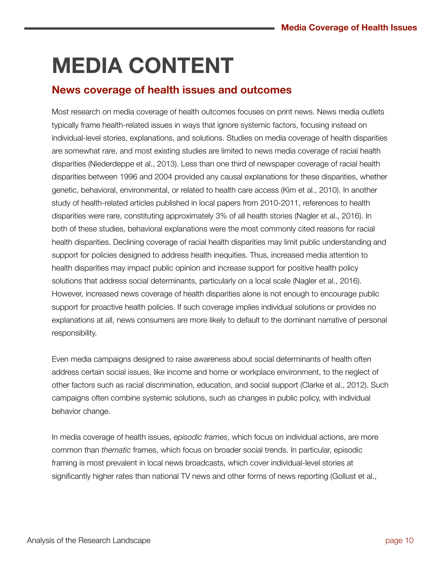## **MEDIA CONTENT**

### **News coverage of health issues and outcomes**

Most research on media coverage of health outcomes focuses on print news. News media outlets typically frame health-related issues in ways that ignore systemic factors, focusing instead on individual-level stories, explanations, and solutions. Studies on media coverage of health disparities are somewhat rare, and most existing studies are limited to news media coverage of racial health disparities (Niederdeppe et al., 2013). Less than one third of newspaper coverage of racial health disparities between 1996 and 2004 provided any causal explanations for these disparities, whether genetic, behavioral, environmental, or related to health care access (Kim et al., 2010). In another study of health-related articles published in local papers from 2010-2011, references to health disparities were rare, constituting approximately 3% of all health stories (Nagler et al., 2016). In both of these studies, behavioral explanations were the most commonly cited reasons for racial health disparities. Declining coverage of racial health disparities may limit public understanding and support for policies designed to address health inequities. Thus, increased media attention to health disparities may impact public opinion and increase support for positive health policy solutions that address social determinants, particularly on a local scale (Nagler et al., 2016). However, increased news coverage of health disparities alone is not enough to encourage public support for proactive health policies. If such coverage implies individual solutions or provides no explanations at all, news consumers are more likely to default to the dominant narrative of personal responsibility.

Even media campaigns designed to raise awareness about social determinants of health often address certain social issues, like income and home or workplace environment, to the neglect of other factors such as racial discrimination, education, and social support (Clarke et al., 2012). Such campaigns often combine systemic solutions, such as changes in public policy, with individual behavior change.

In media coverage of health issues, *episodic frames*, which focus on individual actions, are more common than *thematic* frames, which focus on broader social trends. In particular, episodic framing is most prevalent in local news broadcasts, which cover individual-level stories at significantly higher rates than national TV news and other forms of news reporting (Gollust et al.,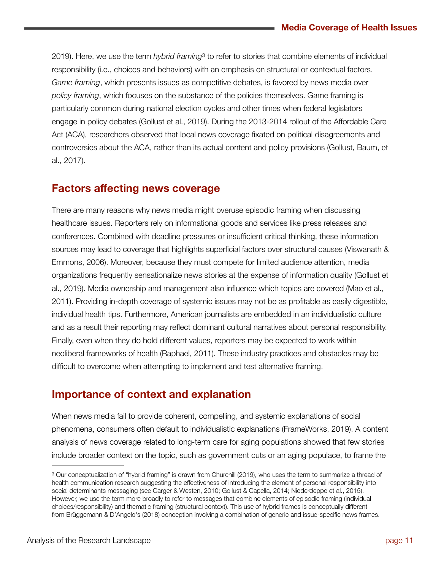<span id="page-10-1"></span>2019). Here, we use the term *hybrid framing*<sup>[3](#page-10-0)</sup> to refer to stories that combine elements of individual responsibility (i.e., choices and behaviors) with an emphasis on structural or contextual factors. *Game framing*, which presents issues as competitive debates, is favored by news media over *policy framing*, which focuses on the substance of the policies themselves. Game framing is particularly common during national election cycles and other times when federal legislators engage in policy debates (Gollust et al., 2019). During the 2013-2014 rollout of the Affordable Care Act (ACA), researchers observed that local news coverage fixated on political disagreements and controversies about the ACA, rather than its actual content and policy provisions (Gollust, Baum, et al., 2017).

#### **Factors affecting news coverage**

There are many reasons why news media might overuse episodic framing when discussing healthcare issues. Reporters rely on informational goods and services like press releases and conferences. Combined with deadline pressures or insufficient critical thinking, these information sources may lead to coverage that highlights superficial factors over structural causes (Viswanath & Emmons, 2006). Moreover, because they must compete for limited audience attention, media organizations frequently sensationalize news stories at the expense of information quality (Gollust et al., 2019). Media ownership and management also influence which topics are covered (Mao et al., 2011). Providing in-depth coverage of systemic issues may not be as profitable as easily digestible, individual health tips. Furthermore, American journalists are embedded in an individualistic culture and as a result their reporting may reflect dominant cultural narratives about personal responsibility. Finally, even when they do hold different values, reporters may be expected to work within neoliberal frameworks of health (Raphael, 2011). These industry practices and obstacles may be difficult to overcome when attempting to implement and test alternative framing.

### **Importance of context and explanation**

When news media fail to provide coherent, compelling, and systemic explanations of social phenomena, consumers often default to individualistic explanations (FrameWorks, 2019). A content analysis of news coverage related to long-term care for aging populations showed that few stories include broader context on the topic, such as government cuts or an aging populace, to frame the

<span id="page-10-0"></span><sup>&</sup>lt;sup>[3](#page-10-1)</sup> Our conceptualization of "hybrid framing" is drawn from Churchill (2019), who uses the term to summarize a thread of health communication research suggesting the effectiveness of introducing the element of personal responsibility into social determinants messaging (see Carger & Westen, 2010; Gollust & Capella, 2014; Niederdeppe et al., 2015). However, we use the term more broadly to refer to messages that combine elements of episodic framing (individual choices/responsibility) and thematic framing (structural context). This use of hybrid frames is conceptually different from Brüggemann & D'Angelo's (2018) conception involving a combination of generic and issue-specific news frames.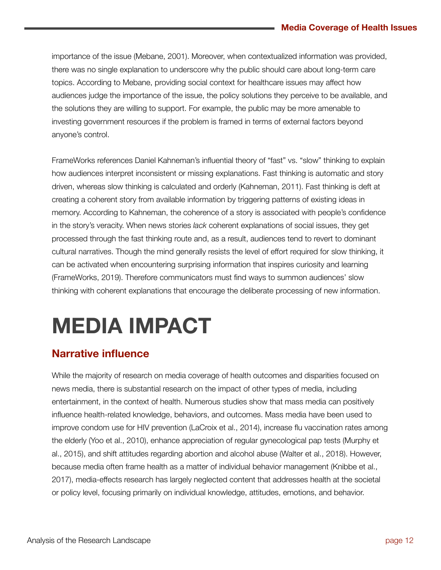importance of the issue (Mebane, 2001). Moreover, when contextualized information was provided, there was no single explanation to underscore why the public should care about long-term care topics. According to Mebane, providing social context for healthcare issues may affect how audiences judge the importance of the issue, the policy solutions they perceive to be available, and the solutions they are willing to support. For example, the public may be more amenable to investing government resources if the problem is framed in terms of external factors beyond anyone's control.

FrameWorks references Daniel Kahneman's influential theory of "fast" vs. "slow" thinking to explain how audiences interpret inconsistent or missing explanations. Fast thinking is automatic and story driven, whereas slow thinking is calculated and orderly (Kahneman, 2011). Fast thinking is deft at creating a coherent story from available information by triggering patterns of existing ideas in memory. According to Kahneman, the coherence of a story is associated with people's confidence in the story's veracity. When news stories *lack* coherent explanations of social issues, they get processed through the fast thinking route and, as a result, audiences tend to revert to dominant cultural narratives. Though the mind generally resists the level of effort required for slow thinking, it can be activated when encountering surprising information that inspires curiosity and learning (FrameWorks, 2019). Therefore communicators must find ways to summon audiences' slow thinking with coherent explanations that encourage the deliberate processing of new information.

## **MEDIA IMPACT**

### **Narrative influence**

While the majority of research on media coverage of health outcomes and disparities focused on news media, there is substantial research on the impact of other types of media, including entertainment, in the context of health. Numerous studies show that mass media can positively influence health-related knowledge, behaviors, and outcomes. Mass media have been used to improve condom use for HIV prevention (LaCroix et al., 2014), increase flu vaccination rates among the elderly (Yoo et al., 2010), enhance appreciation of regular gynecological pap tests (Murphy et al., 2015), and shift attitudes regarding abortion and alcohol abuse (Walter et al., 2018). However, because media often frame health as a matter of individual behavior management (Knibbe et al., 2017), media-effects research has largely neglected content that addresses health at the societal or policy level, focusing primarily on individual knowledge, attitudes, emotions, and behavior.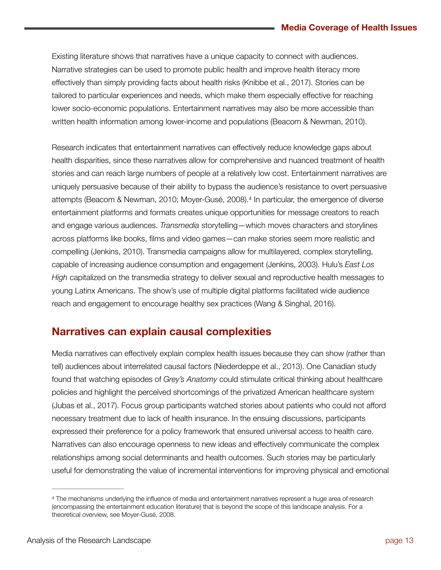Existing literature shows that narratives have a unique capacity to connect with audiences. Narrative strategies can be used to promote public health and improve health literacy more effectively than simply providing facts about health risks (Knibbe et al., 2017). Stories can be tailored to particular experiences and needs, which make them especially effective for reaching lower socio-economic populations. Entertainment narratives may also be more accessible than written health information among lower-income and populations (Beacom & Newman, 2010).

<span id="page-12-1"></span>Research indicates that entertainment narratives can effectively reduce knowledge gaps about health disparities, since these narratives allow for comprehensive and nuanced treatment of health stories and can reach large numbers of people at a relatively low cost. Entertainment narratives are uniquely persuasive because of their ability to bypass the audience's resistance to overt persuasive attempts(Beacom & Newman, 2010; Moyer-Gusé, 2008).<sup>[4](#page-12-0)</sup> In particular, the emergence of diverse entertainment platforms and formats creates unique opportunities for message creators to reach and engage various audiences. *Transmedia* storytelling—which moves characters and storylines across platforms like books, films and video games—can make stories seem more realistic and compelling (Jenkins, 2010). Transmedia campaigns allow for multilayered, complex storytelling, capable of increasing audience consumption and engagement (Jenkins, 2003). Hulu's *East Los High* capitalized on the transmedia strategy to deliver sexual and reproductive health messages to young Latinx Americans. The show's use of multiple digital platforms facilitated wide audience reach and engagement to encourage healthy sex practices (Wang & Singhal, 2016).

#### **Narratives can explain causal complexities**

Media narratives can effectively explain complex health issues because they can show (rather than tell) audiences about interrelated causal factors (Niederdeppe et al., 2013). One Canadian study found that watching episodes of *Grey's Anatomy* could stimulate critical thinking about healthcare policies and highlight the perceived shortcomings of the privatized American healthcare system (Jubas et al., 2017). Focus group participants watched stories about patients who could not afford necessary treatment due to lack of health insurance. In the ensuing discussions, participants expressed their preference for a policy framework that ensured universal access to health care. Narratives can also encourage openness to new ideas and effectively communicate the complex relationships among social determinants and health outcomes. Such stories may be particularly useful for demonstrating the value of incremental interventions for improving physical and emotional

<span id="page-12-0"></span>The mechanisms underlying the influence of media and entertainment narratives represent a huge area of research [4](#page-12-1) (encompassing the entertainment education literature) that is beyond the scope of this landscape analysis. For a theoretical overview, see Moyer-Gusé, 2008.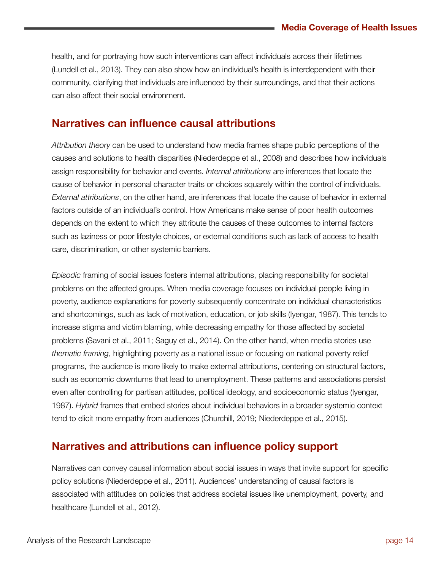health, and for portraying how such interventions can affect individuals across their lifetimes (Lundell et al., 2013). They can also show how an individual's health is interdependent with their community, clarifying that individuals are influenced by their surroundings, and that their actions can also affect their social environment.

### **Narratives can influence causal attributions**

*Attribution theory* can be used to understand how media frames shape public perceptions of the causes and solutions to health disparities (Niederdeppe et al., 2008) and describes how individuals assign responsibility for behavior and events. *Internal attributions* are inferences that locate the cause of behavior in personal character traits or choices squarely within the control of individuals. *External attributions*, on the other hand, are inferences that locate the cause of behavior in external factors outside of an individual's control. How Americans make sense of poor health outcomes depends on the extent to which they attribute the causes of these outcomes to internal factors such as laziness or poor lifestyle choices, or external conditions such as lack of access to health care, discrimination, or other systemic barriers.

*Episodic* framing of social issues fosters internal attributions, placing responsibility for societal problems on the affected groups. When media coverage focuses on individual people living in poverty, audience explanations for poverty subsequently concentrate on individual characteristics and shortcomings, such as lack of motivation, education, or job skills (Iyengar, 1987). This tends to increase stigma and victim blaming, while decreasing empathy for those affected by societal problems (Savani et al., 2011; Saguy et al., 2014). On the other hand, when media stories use *thematic framing*, highlighting poverty as a national issue or focusing on national poverty relief programs, the audience is more likely to make external attributions, centering on structural factors, such as economic downturns that lead to unemployment. These patterns and associations persist even after controlling for partisan attitudes, political ideology, and socioeconomic status (Iyengar, 1987). *Hybrid* frames that embed stories about individual behaviors in a broader systemic context tend to elicit more empathy from audiences (Churchill, 2019; Niederdeppe et al., 2015).

### **Narratives and attributions can influence policy support**

Narratives can convey causal information about social issues in ways that invite support for specific policy solutions (Niederdeppe et al., 2011). Audiences' understanding of causal factors is associated with attitudes on policies that address societal issues like unemployment, poverty, and healthcare (Lundell et al., 2012).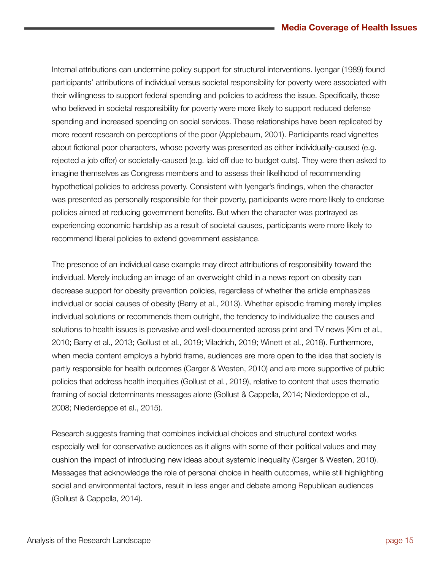Internal attributions can undermine policy support for structural interventions. Iyengar (1989) found participants' attributions of individual versus societal responsibility for poverty were associated with their willingness to support federal spending and policies to address the issue. Specifically, those who believed in societal responsibility for poverty were more likely to support reduced defense spending and increased spending on social services. These relationships have been replicated by more recent research on perceptions of the poor (Applebaum, 2001). Participants read vignettes about fictional poor characters, whose poverty was presented as either individually-caused (e.g. rejected a job offer) or societally-caused (e.g. laid off due to budget cuts). They were then asked to imagine themselves as Congress members and to assess their likelihood of recommending hypothetical policies to address poverty. Consistent with Iyengar's findings, when the character was presented as personally responsible for their poverty, participants were more likely to endorse policies aimed at reducing government benefits. But when the character was portrayed as experiencing economic hardship as a result of societal causes, participants were more likely to recommend liberal policies to extend government assistance.

The presence of an individual case example may direct attributions of responsibility toward the individual. Merely including an image of an overweight child in a news report on obesity can decrease support for obesity prevention policies, regardless of whether the article emphasizes individual or social causes of obesity (Barry et al., 2013). Whether episodic framing merely implies individual solutions or recommends them outright, the tendency to individualize the causes and solutions to health issues is pervasive and well-documented across print and TV news (Kim et al., 2010; Barry et al., 2013; Gollust et al., 2019; Viladrich, 2019; Winett et al., 2018). Furthermore, when media content employs a hybrid frame, audiences are more open to the idea that society is partly responsible for health outcomes (Carger & Westen, 2010) and are more supportive of public policies that address health inequities (Gollust et al., 2019), relative to content that uses thematic framing of social determinants messages alone (Gollust & Cappella, 2014; Niederdeppe et al., 2008; Niederdeppe et al., 2015).

Research suggests framing that combines individual choices and structural context works especially well for conservative audiences as it aligns with some of their political values and may cushion the impact of introducing new ideas about systemic inequality (Carger & Westen, 2010). Messages that acknowledge the role of personal choice in health outcomes, while still highlighting social and environmental factors, result in less anger and debate among Republican audiences (Gollust & Cappella, 2014).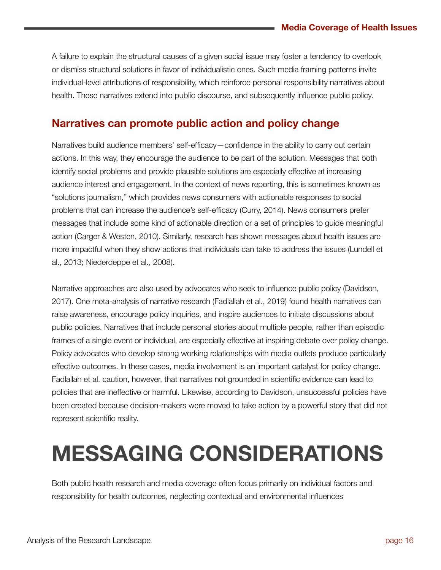A failure to explain the structural causes of a given social issue may foster a tendency to overlook or dismiss structural solutions in favor of individualistic ones. Such media framing patterns invite individual-level attributions of responsibility, which reinforce personal responsibility narratives about health. These narratives extend into public discourse, and subsequently influence public policy.

### **Narratives can promote public action and policy change**

Narratives build audience members' self-efficacy—confidence in the ability to carry out certain actions. In this way, they encourage the audience to be part of the solution. Messages that both identify social problems and provide plausible solutions are especially effective at increasing audience interest and engagement. In the context of news reporting, this is sometimes known as "solutions journalism," which provides news consumers with actionable responses to social problems that can increase the audience's self-efficacy (Curry, 2014). News consumers prefer messages that include some kind of actionable direction or a set of principles to guide meaningful action (Carger & Westen, 2010). Similarly, research has shown messages about health issues are more impactful when they show actions that individuals can take to address the issues (Lundell et al., 2013; Niederdeppe et al., 2008).

Narrative approaches are also used by advocates who seek to influence public policy (Davidson, 2017). One meta-analysis of narrative research (Fadlallah et al., 2019) found health narratives can raise awareness, encourage policy inquiries, and inspire audiences to initiate discussions about public policies. Narratives that include personal stories about multiple people, rather than episodic frames of a single event or individual, are especially effective at inspiring debate over policy change. Policy advocates who develop strong working relationships with media outlets produce particularly effective outcomes. In these cases, media involvement is an important catalyst for policy change. Fadlallah et al. caution, however, that narratives not grounded in scientific evidence can lead to policies that are ineffective or harmful. Likewise, according to Davidson, unsuccessful policies have been created because decision-makers were moved to take action by a powerful story that did not represent scientific reality.

### **MESSAGING CONSIDERATIONS**

Both public health research and media coverage often focus primarily on individual factors and responsibility for health outcomes, neglecting contextual and environmental influences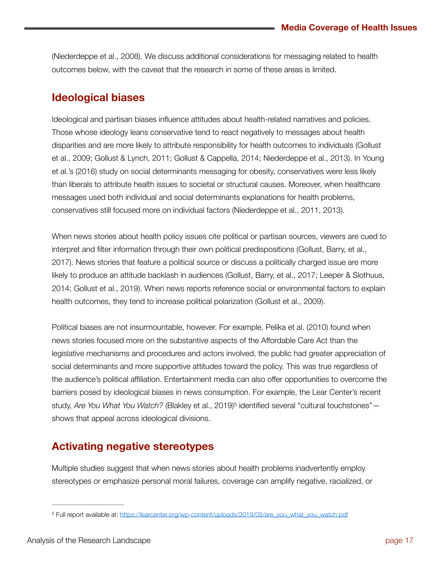(Niederdeppe et al., 2008). We discuss additional considerations for messaging related to health outcomes below, with the caveat that the research in some of these areas is limited.

### **Ideological biases**

Ideological and partisan biases influence attitudes about health-related narratives and policies. Those whose ideology leans conservative tend to react negatively to messages about health disparities and are more likely to attribute responsibility for health outcomes to individuals (Gollust et al., 2009; Gollust & Lynch, 2011; Gollust & Cappella, 2014; Niederdeppe et al., 2013). In Young et al.'s (2016) study on social determinants messaging for obesity, conservatives were less likely than liberals to attribute health issues to societal or structural causes. Moreover, when healthcare messages used both individual and social determinants explanations for health problems, conservatives still focused more on individual factors (Niederdeppe et al., 2011, 2013).

When news stories about health policy issues cite political or partisan sources, viewers are cued to interpret and filter information through their own political predispositions (Gollust, Barry, et al., 2017). News stories that feature a political source or discuss a politically charged issue are more likely to produce an attitude backlash in audiences (Gollust, Barry, et al., 2017; Leeper & Slothuus, 2014; Gollust et al., 2019). When news reports reference social or environmental factors to explain health outcomes, they tend to increase political polarization (Gollust et al., 2009).

Political biases are not insurmountable, however. For example, Pelika et al. (2010) found when news stories focused more on the substantive aspects of the Affordable Care Act than the legislative mechanisms and procedures and actors involved, the public had greater appreciation of social determinants and more supportive attitudes toward the policy. This was true regardless of the audience's political affiliation. Entertainment media can also offer opportunities to overcome the barriers posed by ideological biases in news consumption. For example, the Lear Center's recent study, *Are You What You Watch?* (Blakley et al., 2019)<sup>5</sup> identified several "cultural touchstones" shows that appeal across ideological divisions.

### <span id="page-16-1"></span>**Activating negative stereotypes**

Multiple studies suggest that when news stories about health problems inadvertently employ stereotypes or emphasize personal moral failures, coverage can amplify negative, racialized, or

<span id="page-16-0"></span><sup>&</sup>lt;sup>5</sup> Full report available at: [https://learcenter.org/wp-content/uploads/2019/05/are\\_you\\_what\\_you\\_watch.pdf](https://learcenter.org/wp-content/uploads/2019/05/are_you_what_you_watch.pdf)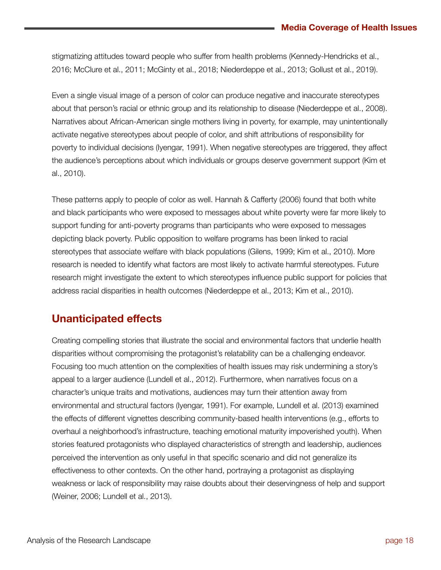stigmatizing attitudes toward people who suffer from health problems (Kennedy-Hendricks et al., 2016; McClure et al., 2011; McGinty et al., 2018; Niederdeppe et al., 2013; Gollust et al., 2019).

Even a single visual image of a person of color can produce negative and inaccurate stereotypes about that person's racial or ethnic group and its relationship to disease (Niederdeppe et al., 2008). Narratives about African-American single mothers living in poverty, for example, may unintentionally activate negative stereotypes about people of color, and shift attributions of responsibility for poverty to individual decisions (Iyengar, 1991). When negative stereotypes are triggered, they affect the audience's perceptions about which individuals or groups deserve government support (Kim et al., 2010).

These patterns apply to people of color as well. Hannah & Cafferty (2006) found that both white and black participants who were exposed to messages about white poverty were far more likely to support funding for anti-poverty programs than participants who were exposed to messages depicting black poverty. Public opposition to welfare programs has been linked to racial stereotypes that associate welfare with black populations (Gilens, 1999; Kim et al., 2010). More research is needed to identify what factors are most likely to activate harmful stereotypes. Future research might investigate the extent to which stereotypes influence public support for policies that address racial disparities in health outcomes (Niederdeppe et al., 2013; Kim et al., 2010).

### **Unanticipated effects**

Creating compelling stories that illustrate the social and environmental factors that underlie health disparities without compromising the protagonist's relatability can be a challenging endeavor. Focusing too much attention on the complexities of health issues may risk undermining a story's appeal to a larger audience (Lundell et al., 2012). Furthermore, when narratives focus on a character's unique traits and motivations, audiences may turn their attention away from environmental and structural factors (Iyengar, 1991). For example, Lundell et al. (2013) examined the effects of different vignettes describing community-based health interventions (e.g., efforts to overhaul a neighborhood's infrastructure, teaching emotional maturity impoverished youth). When stories featured protagonists who displayed characteristics of strength and leadership, audiences perceived the intervention as only useful in that specific scenario and did not generalize its effectiveness to other contexts. On the other hand, portraying a protagonist as displaying weakness or lack of responsibility may raise doubts about their deservingness of help and support (Weiner, 2006; Lundell et al., 2013).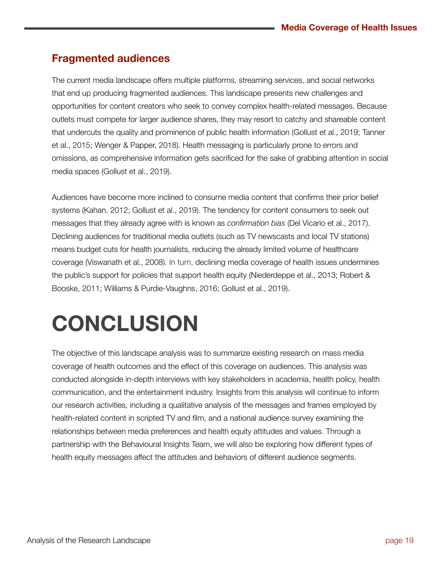### **Fragmented audiences**

The current media landscape offers multiple platforms, streaming services, and social networks that end up producing fragmented audiences. This landscape presents new challenges and opportunities for content creators who seek to convey complex health-related messages. Because outlets must compete for larger audience shares, they may resort to catchy and shareable content that undercuts the quality and prominence of public health information (Gollust et al., 2019; Tanner et al., 2015; Wenger & Papper, 2018). Health messaging is particularly prone to errors and omissions, as comprehensive information gets sacrificed for the sake of grabbing attention in social media spaces (Gollust et al., 2019).

Audiences have become more inclined to consume media content that confirms their prior belief systems (Kahan, 2012; Gollust et al., 2019). The tendency for content consumers to seek out messages that they already agree with is known as *confirmation bias* (Del Vicario et al., 2017). Declining audiences for traditional media outlets (such as TV newscasts and local TV stations) means budget cuts for health journalists, reducing the already limited volume of healthcare coverage (Viswanath et al., 2008). In turn, declining media coverage of health issues undermines the public's support for policies that support health equity (Niederdeppe et al., 2013; Robert & Booske, 2011; Williams & Purdie-Vaughns, 2016; Gollust et al., 2019).

## **CONCLUSION**

The objective of this landscape analysis was to summarize existing research on mass media coverage of health outcomes and the effect of this coverage on audiences. This analysis was conducted alongside in-depth interviews with key stakeholders in academia, health policy, health communication, and the entertainment industry. Insights from this analysis will continue to inform our research activities, including a qualitative analysis of the messages and frames employed by health-related content in scripted TV and film, and a national audience survey examining the relationships between media preferences and health equity attitudes and values. Through a partnership with the Behavioural Insights Team, we will also be exploring how different types of health equity messages affect the attitudes and behaviors of different audience segments.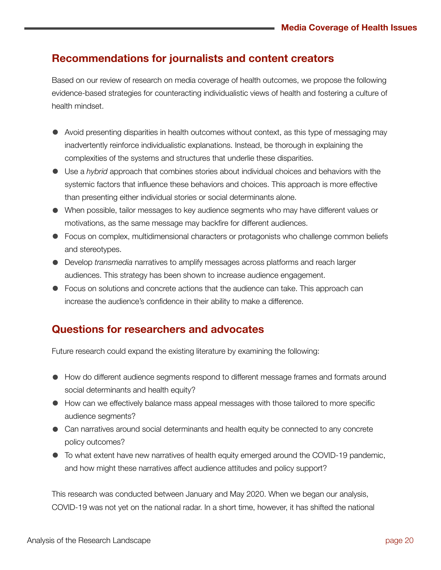### **Recommendations for journalists and content creators**

Based on our review of research on media coverage of health outcomes, we propose the following evidence-based strategies for counteracting individualistic views of health and fostering a culture of health mindset.

- Avoid presenting disparities in health outcomes without context, as this type of messaging may inadvertently reinforce individualistic explanations. Instead, be thorough in explaining the complexities of the systems and structures that underlie these disparities.
- Use a *hybrid* approach that combines stories about individual choices and behaviors with the systemic factors that influence these behaviors and choices. This approach is more effective than presenting either individual stories or social determinants alone.
- When possible, tailor messages to key audience segments who may have different values or motivations, as the same message may backfire for different audiences.
- Focus on complex, multidimensional characters or protagonists who challenge common beliefs and stereotypes.
- Develop *transmedia* narratives to amplify messages across platforms and reach larger audiences. This strategy has been shown to increase audience engagement.
- Focus on solutions and concrete actions that the audience can take. This approach can increase the audience's confidence in their ability to make a difference.

### **Questions for researchers and advocates**

Future research could expand the existing literature by examining the following:

- How do different audience segments respond to different message frames and formats around social determinants and health equity?
- How can we effectively balance mass appeal messages with those tailored to more specific audience segments?
- Can narratives around social determinants and health equity be connected to any concrete policy outcomes?
- To what extent have new narratives of health equity emerged around the COVID-19 pandemic, and how might these narratives affect audience attitudes and policy support?

This research was conducted between January and May 2020. When we began our analysis, COVID-19 was not yet on the national radar. In a short time, however, it has shifted the national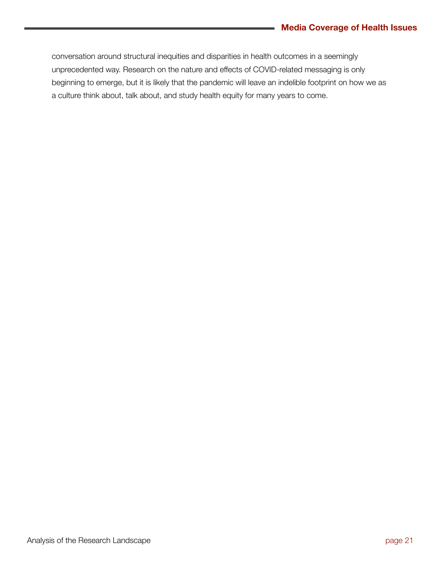conversation around structural inequities and disparities in health outcomes in a seemingly unprecedented way. Research on the nature and effects of COVID-related messaging is only beginning to emerge, but it is likely that the pandemic will leave an indelible footprint on how we as a culture think about, talk about, and study health equity for many years to come.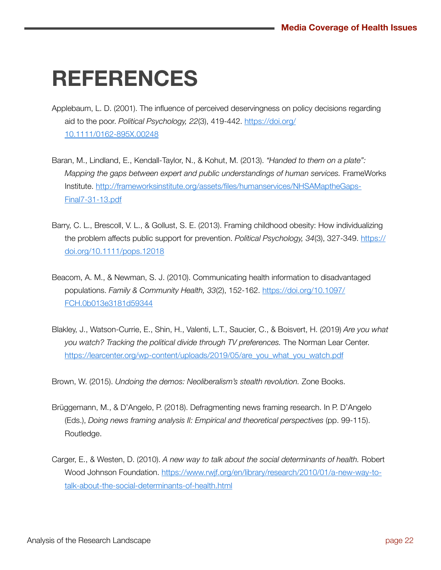### **REFERENCES**

- Applebaum, L. D. (2001). The influence of perceived deservingness on policy decisions regarding aid to the poor. *Political Psychology, 22*(3), 419-442. [https://doi.org/](https://doi.org/10.1111/0162-895X.00248) [10.1111/0162-895X.00248](https://doi.org/10.1111/0162-895X.00248)
- Baran, M., Lindland, E., Kendall-Taylor, N., & Kohut, M. (2013). *"Handed to them on a plate": Mapping the gaps between expert and public understandings of human services.* FrameWorks Institute. [http://frameworksinstitute.org/assets/files/humanservices/NHSAMaptheGaps-](http://frameworksinstitute.org/assets/files/humanservices/NHSAMa)[Final7-31-13.pdf](http://frameworksinstitute.org/assets/files/humanservices/NHSAMa)
- Barry, C. L., Brescoll, V. L., & Gollust, S. E. (2013). Framing childhood obesity: How individualizing the problem affects public support for prevention. *Political Psychology, 34*(3), 327-349. [https://](https://doi.org/10.1111/pops.12018) [doi.org/10.1111/pops.12018](https://doi.org/10.1111/pops.12018)
- Beacom, A. M., & Newman, S. J. (2010). Communicating health information to disadvantaged populations. *Family & Community Health, 33*(2), 152-162. [https://doi.org/10.1097/](https://doi.org/10.1097/FCH.0b013e3181d59344) [FCH.0b013e3181d59344](https://doi.org/10.1097/FCH.0b013e3181d59344)
- Blakley, J., Watson-Currie, E., Shin, H., Valenti, L.T., Saucier, C., & Boisvert, H. (2019) *Are you what you watch? Tracking the political divide through TV preferences.* The Norman Lear Center. [https://learcenter.org/wp-content/uploads/2019/05/are\\_you\\_what\\_you\\_watch.pdf](https://learcenter.org/wp-content/uploads/2019/05/are_you_what_you_watch.pdf)

Brown, W. (2015). *Undoing the demos: Neoliberalism's stealth revolution.* Zone Books.

- Brüggemann, M., & D'Angelo, P. (2018). Defragmenting news framing research. In P. D'Angelo (Eds.), *Doing news framing analysis II: Empirical and theoretical perspectives* (pp. 99-115). Routledge.
- Carger, E., & Westen, D. (2010). *A new way to talk about the social determinants of health.* Robert Wood Johnson Foundation. [https://www.rwjf.org/en/library/research/2010/01/a-new-way-to](https://www.rwjf.org/en/library/research/2010/01/a-new-way-to-talk-a)[talk-about-the-social-determinants-of-health.html](https://www.rwjf.org/en/library/research/2010/01/a-new-way-to-talk-a)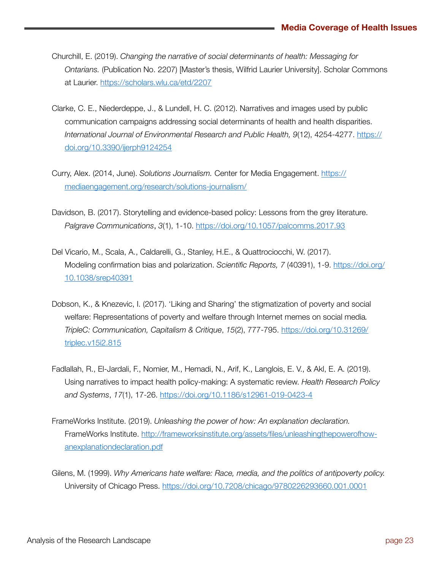- Churchill, E. (2019). *Changing the narrative of social determinants of health: Messaging for Ontarians.* (Publication No. 2207) [Master's thesis, Wilfrid Laurier University]. Scholar Commons at Laurier.<https://scholars.wlu.ca/etd/2207>
- Clarke, C. E., Niederdeppe, J., & Lundell, H. C. (2012). Narratives and images used by public communication campaigns addressing social determinants of health and health disparities. *International Journal of Environmental Research and Public Health, 9*(12), 4254-4277. [https://](https://doi.org/10.3390/ijerph912425) [doi.org/10.3390/ijerph9124254](https://doi.org/10.3390/ijerph912425)
- Curry, Alex. (2014, June). *Solutions Journalism.* Center for Media Engagement. [https://](https://mediaengagement.org/research/solutions-journalism/) [mediaengagement.org/research/solutions-journalism/](https://mediaengagement.org/research/solutions-journalism/)
- Davidson, B. (2017). Storytelling and evidence-based policy: Lessons from the grey literature. *Palgrave Communications*, *3*(1), 1-10.<https://doi.org/10.1057/palcomms.2017.93>
- Del Vicario, M., Scala, A., Caldarelli, G., Stanley, H.E., & Quattrociocchi, W. (2017). Modeling confirmation bias and polarization. *Scientific Reports, 7* (40391), 1-9. [https://doi.org/](https://doi.org/10.1038/srep40391) [10.1038/srep40391](https://doi.org/10.1038/srep40391)
- Dobson, K., & Knezevic, I. (2017). 'Liking and Sharing' the stigmatization of poverty and social welfare: Representations of poverty and welfare through Internet memes on social media*. TripleC: Communication, Capitalism & Critique*, *15*(2), 777-795. [https://doi.org/10.31269/](https://doi.org/10.31269/triplec.v15i2.815) [triplec.v15i2.815](https://doi.org/10.31269/triplec.v15i2.815)
- Fadlallah, R., El-Jardali, F., Nomier, M., Hemadi, N., Arif, K., Langlois, E. V., & Akl, E. A. (2019). Using narratives to impact health policy-making: A systematic review. *Health Research Policy and Systems*, *17*(1), 17-26.<https://doi.org/10.1186/s12961-019-0423-4>
- FrameWorks Institute. (2019). *Unleashing the power of how: An explanation declaration.*  FrameWorks Institute. [http://frameworksinstitute.org/assets/files/unleashingthepowerofhow](http://frameworksinstitute.org/assets/files/unleashingthepowerofhow-anexplanationdeclaration.pdf)[anexplanationdeclaration.pdf](http://frameworksinstitute.org/assets/files/unleashingthepowerofhow-anexplanationdeclaration.pdf)
- Gilens, M. (1999). *Why Americans hate welfare: Race, media, and the politics of antipoverty policy.*  University of Chicago Press. <https://doi.org/10.7208/chicago/9780226293660.001.0001>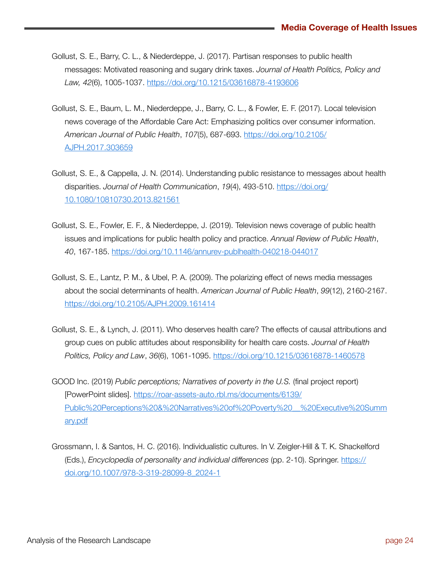- Gollust, S. E., Barry, C. L., & Niederdeppe, J. (2017). Partisan responses to public health messages: Motivated reasoning and sugary drink taxes. *Journal of Health Politics, Policy and Law, 42*(6), 1005-1037. [https://doi.org/10.1215/03616878-4193606](https://doi.org/10.1215/03616878-4)
- Gollust, S. E., Baum, L. M., Niederdeppe, J., Barry, C. L., & Fowler, E. F. (2017). Local television news coverage of the Affordable Care Act: Emphasizing politics over consumer information. *American Journal of Public Health*, *107*(5), 687-693. [https://doi.org/10.2105/](https://doi.org/10.2105/AJPH.2017.303659) [AJPH.2017.303659](https://doi.org/10.2105/AJPH.2017.303659)
- Gollust, S. E., & Cappella, J. N. (2014). Understanding public resistance to messages about health disparities. *Journal of Health Communication*, *19*(4), 493-510. [https://doi.org/](https://doi.org/10.1080/10810730.2013.821561) [10.1080/10810730.2013.821561](https://doi.org/10.1080/10810730.2013.821561)
- Gollust, S. E., Fowler, E. F., & Niederdeppe, J. (2019). Television news coverage of public health issues and implications for public health policy and practice. *Annual Review of Public Health*, *40*, 167-185.<https://doi.org/10.1146/annurev-publhealth-040218-044017>
- Gollust, S. E., Lantz, P. M., & Ubel, P. A. (2009). The polarizing effect of news media messages about the social determinants of health. *American Journal of Public Health*, *99*(12), 2160-2167. <https://doi.org/10.2105/AJPH.2009.161414>
- Gollust, S. E., & Lynch, J. (2011). Who deserves health care? The effects of causal attributions and group cues on public attitudes about responsibility for health care costs. *Journal of Health Politics, Policy and Law*, *36*(6), 1061-1095.<https://doi.org/10.1215/03616878-1460578>
- GOOD Inc. (2019) *Public perceptions; Narratives of poverty in the U.S.* (final project report) [PowerPoint slides]. [https://roar-assets-auto.rbl.ms/documents/6139/](https://roar-assets-auto.rbl.ms/documents/6139/Public) [Public%20Perceptions%20&%20Narratives%20of%20Poverty%20\\_\\_%20Executive%20Summ](https://roar-assets-auto.rbl.ms/documents/6139/Public) [ary.pdf](https://roar-assets-auto.rbl.ms/documents/6139/Public)
- Grossmann, I. & Santos, H. C. (2016). Individualistic cultures. In V. Zeigler-Hill & T. K. Shackelford (Eds.), *Encyclopedia of personality and individual differences* (pp. 2-10). Springer. [https://](https://doi.org/10.1007/978-3-319-28099-8_2024-1) [doi.org/10.1007/978-3-319-28099-8\\_2024-1](https://doi.org/10.1007/978-3-319-28099-8_2024-1)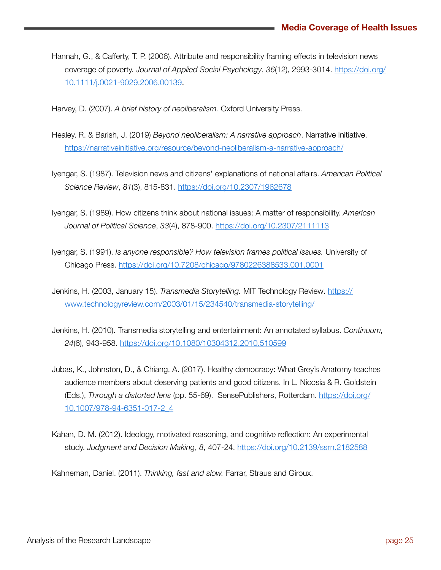- Hannah, G., & Cafferty, T. P. (2006). Attribute and responsibility framing effects in television news coverage of poverty. *Journal of Applied Social Psychology*, *36*(12), 2993-3014. [https://doi.org/](https://doi.org/10.1111/j.0021-9029.2006.00139) [10.1111/j.0021-9029.2006.00139](https://doi.org/10.1111/j.0021-9029.2006.00139).
- Harvey, D. (2007). *A brief history of neoliberalism.* Oxford University Press.
- Healey, R. & Barish, J. (2019) *Beyond neoliberalism: A narrative approach*. Narrative Initiative. <https://narrativeinitiative.org/resource/beyond-neoliberalism-a-narrative-approach/>
- Iyengar, S. (1987). Television news and citizens' explanations of national affairs. *American Political Science Review*, *81*(3), 815-831.<https://doi.org/10.2307/1962678>
- Iyengar, S. (1989). How citizens think about national issues: A matter of responsibility. *American Journal of Political Science*, *33*(4), 878-900.<https://doi.org/10.2307/2111113>
- Iyengar, S. (1991). *Is anyone responsible? How television frames political issues.* University of Chicago Press. <https://doi.org/10.7208/chicago/9780226388533.001.0001>
- Jenkins, H. (2003, January 15). *Transmedia Storytelling.* MIT Technology Review*.* [https://](https://www.technologyreview.com/2003/01/15/234540/transmedia-storytelling/) [www.technologyreview.com/2003/01/15/234540/transmedia-storytelling/](https://www.technologyreview.com/2003/01/15/234540/transmedia-storytelling/)
- Jenkins, H. (2010). Transmedia storytelling and entertainment: An annotated syllabus. *Continuum, 24*(6), 943-958. <https://doi.org/10.1080/10304312.2010.510599>
- Jubas, K., Johnston, D., & Chiang, A. (2017). Healthy democracy: What Grey's Anatomy teaches audience members about deserving patients and good citizens. In L. Nicosia & R. Goldstein (Eds.), *Through a distorted lens* (pp. 55-69). SensePublishers, Rotterdam. [https://doi.org/](https://doi.org/10.1007/978-94-6351-017-2_4) [10.1007/978-94-6351-017-2\\_4](https://doi.org/10.1007/978-94-6351-017-2_4)
- Kahan, D. M. (2012). Ideology, motivated reasoning, and cognitive reflection: An experimental study. *Judgment and Decision Makin*g, *8*, 407-24. <https://doi.org/10.2139/ssrn.2182588>

Kahneman, Daniel. (2011). *Thinking, fast and slow.* Farrar, Straus and Giroux.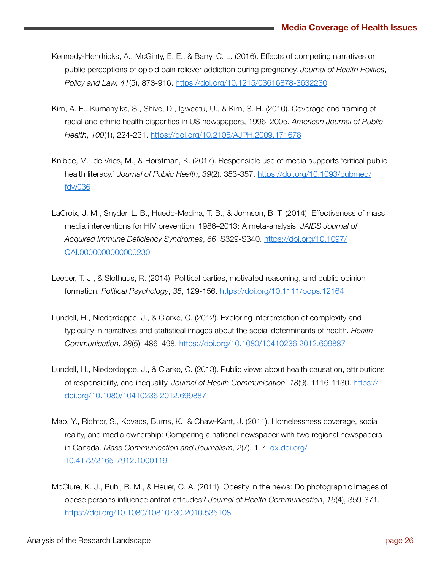- Kennedy-Hendricks, A., McGinty, E. E., & Barry, C. L. (2016). Effects of competing narratives on public perceptions of opioid pain reliever addiction during pregnancy. *Journal of Health Politics*, *Policy and Law, 41*(5), 873-916. <https://doi.org/10.1215/03616878-3632230>
- Kim, A. E., Kumanyika, S., Shive, D., Igweatu, U., & Kim, S. H. (2010). Coverage and framing of racial and ethnic health disparities in US newspapers, 1996–2005. *American Journal of Public Health*, *100*(1), 224-231.<https://doi.org/10.2105/AJPH.2009.171678>
- Knibbe, M., de Vries, M., & Horstman, K. (2017). Responsible use of media supports 'critical public health literacy.' *Journal of Public Health*, *39*(2), 353-357. [https://doi.org/10.1093/pubmed/](https://doi.org/10.1093/pubmed/fdw0) [fdw036](https://doi.org/10.1093/pubmed/fdw0)
- LaCroix, J. M., Snyder, L. B., Huedo-Medina, T. B., & Johnson, B. T. (2014). Effectiveness of mass media interventions for HIV prevention, 1986–2013: A meta-analysis. *JAIDS Journal of Acquired Immune Deficiency Syndromes*, *66*, S329-S340. [https://doi.org/10.1097/](https://doi.org/10.1097/QAI.0000000000000230) [QAI.0000000000000230](https://doi.org/10.1097/QAI.0000000000000230)
- Leeper, T. J., & Slothuus, R. (2014). Political parties, motivated reasoning, and public opinion formation. *Political Psychology*, *35*, 129-156.<https://doi.org/10.1111/pops.12164>
- Lundell, H., Niederdeppe, J., & Clarke, C. (2012). Exploring interpretation of complexity and typicality in narratives and statistical images about the social determinants of health. *Health Communication*, *28*(5), 486–498. <https://doi.org/10.1080/10410236.2012.699887>
- Lundell, H., Niederdeppe, J., & Clarke, C. (2013). Public views about health causation, attributions of responsibility, and inequality. *Journal of Health Communication, 18*(9), 1116-1130. [https://](https://doi.org/10.1080/10410236.2012.699887) [doi.org/10.1080/10410236.2012.699887](https://doi.org/10.1080/10410236.2012.699887)
- Mao, Y., Richter, S., Kovacs, Burns, K., & Chaw-Kant, J. (2011). Homelessness coverage, social reality, and media ownership: Comparing a national newspaper with two regional newspapers in Canada. *Mass Communication and Journalism*, *2*(7), 1-7. dx.doi.org/ 10.4172/2165-7912.1000119
- McClure, K. J., Puhl, R. M., & Heuer, C. A. (2011). Obesity in the news: Do photographic images of obese persons influence antifat attitudes? *Journal of Health Communication*, *16*(4), 359-371. <https://doi.org/10.1080/10810730.2010.535108>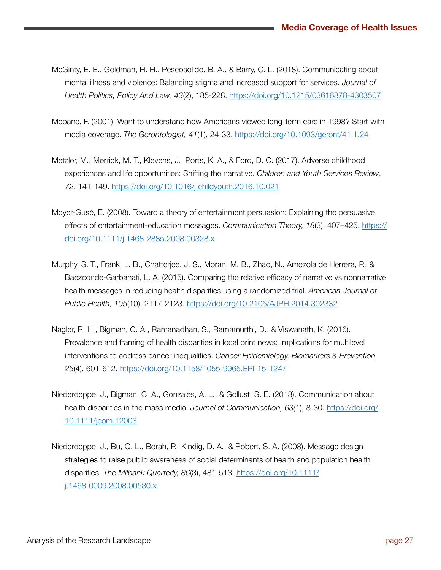- McGinty, E. E., Goldman, H. H., Pescosolido, B. A., & Barry, C. L. (2018). Communicating about mental illness and violence: Balancing stigma and increased support for services. *Journal of Health Politics, Policy And Law*, *43*(2), 185-228. <https://doi.org/10.1215/03616878-4303507>
- Mebane, F. (2001). Want to understand how Americans viewed long-term care in 1998? Start with media coverage. *The Gerontologist, 41*(1), 24-33.<https://doi.org/10.1093/geront/41.1.24>
- Metzler, M., Merrick, M. T., Klevens, J., Ports, K. A., & Ford, D. C. (2017). Adverse childhood experiences and life opportunities: Shifting the narrative. *Children and Youth Services Review*, *72*, 141-149.<https://doi.org/10.1016/j.childyouth.2016.10.021>
- Moyer-Gusé, E. (2008). Toward a theory of entertainment persuasion: Explaining the persuasive effects of entertainment-education messages. *Communication Theory, 18*(3), 407–425. [https://](https://doi.org/10.1111/j.1468-2885.2008.00328.x) [doi.org/10.1111/j.1468-2885.2008.00328.x](https://doi.org/10.1111/j.1468-2885.2008.00328.x)
- Murphy, S. T., Frank, L. B., Chatterjee, J. S., Moran, M. B., Zhao, N., Amezola de Herrera, P., & Baezconde-Garbanati, L. A. (2015). Comparing the relative efficacy of narrative vs nonnarrative health messages in reducing health disparities using a randomized trial. *American Journal of Public Health, 105*(10), 2117-2123. <https://doi.org/10.2105/AJPH.2014.302332>
- Nagler, R. H., Bigman, C. A., Ramanadhan, S., Ramamurthi, D., & Viswanath, K. (2016). Prevalence and framing of health disparities in local print news: Implications for multilevel interventions to address cancer inequalities. *Cancer Epidemiology, Biomarkers & Prevention, 25*(4), 601-612. <https://doi.org/10.1158/1055-9965.EPI-15-1247>
- Niederdeppe, J., Bigman, C. A., Gonzales, A. L., & Gollust, S. E. (2013). Communication about health disparities in the mass media. *Journal of Communication, 63(*1), 8-30. [https://doi.org/](https://doi.org/10.1111/jcom.12003) [10.1111/jcom.12003](https://doi.org/10.1111/jcom.12003)
- Niederdeppe, J., Bu, Q. L., Borah, P., Kindig, D. A., & Robert, S. A. (2008). Message design strategies to raise public awareness of social determinants of health and population health disparities. *The Milbank Quarterly, 86*(3), 481-513. [https://doi.org/10.1111/](https://doi.org/10.1111/j.1468-0009.2008.00530.x) [j.1468-0009.2008.00530.x](https://doi.org/10.1111/j.1468-0009.2008.00530.x)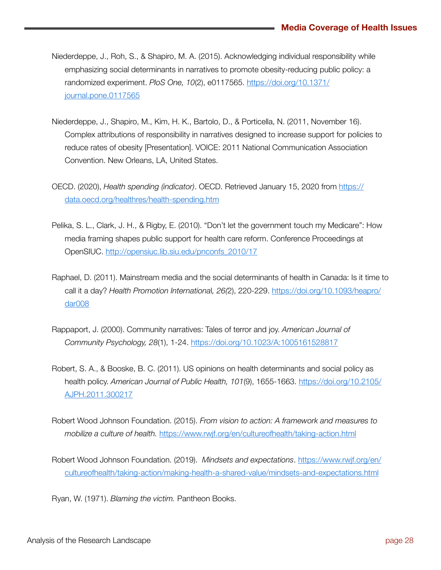- Niederdeppe, J., Roh, S., & Shapiro, M. A. (2015). Acknowledging individual responsibility while emphasizing social determinants in narratives to promote obesity-reducing public policy: a randomized experiment. *PloS One, 10*(2), e0117565. [https://doi.org/10.1371/](https://doi.org/10.1371/journal.pone.0117565) [journal.pone.0117565](https://doi.org/10.1371/journal.pone.0117565)
- Niederdeppe, J., Shapiro, M., Kim, H. K., Bartolo, D., & Porticella, N. (2011, November 16). Complex attributions of responsibility in narratives designed to increase support for policies to reduce rates of obesity [Presentation]. VOICE: 2011 National Communication Association Convention. New Orleans, LA, United States.
- OECD. (2020), *Health spending (indicator)*. OECD. Retrieved January 15, 2020 from [https://](https://data.oecd.org/healthres/health-spending.htm) [data.oecd.org/healthres/health-spending.htm](https://data.oecd.org/healthres/health-spending.htm)
- Pelika, S. L., Clark, J. H., & Rigby, E. (2010). "Don't let the government touch my Medicare": How media framing shapes public support for health care reform. Conference Proceedings at OpenSIUC. [http://opensiuc.lib.siu.edu/pnconfs\\_2010/17](http://opensiuc.lib.siu.edu/pnconfs_2010/17)
- Raphael, D. (2011). Mainstream media and the social determinants of health in Canada: Is it time to call it a day? *Health Promotion Internationa*l*, 26(*2), 220-229. [https://doi.org/10.1093/heapro/](https://doi.org/10.1093/heapro/dar008) [dar008](https://doi.org/10.1093/heapro/dar008)
- Rappaport, J. (2000). Community narratives: Tales of terror and joy. *American Journal of Community Psychology, 28*(1), 1-24.<https://doi.org/10.1023/A:1005161528817>
- Robert, S. A., & Booske, B. C. (2011). US opinions on health determinants and social policy as health policy. *American Journal of Public Health, 101*(9), 1655-1663. [https://doi.org/10.2105/](https://doi.org/10.2105/AJPH.2011.300217) [AJPH.2011.300217](https://doi.org/10.2105/AJPH.2011.300217)
- Robert Wood Johnson Foundation. (2015). *From vision to action: A framework and measures to mobilize a culture of health.* <https://www.rwjf.org/en/cultureofhealth/taking-action.html>
- Robert Wood Johnson Foundation. (2019). *Mindsets and expectations*. [https://www.rwjf.org/en/](https://www.rwjf.org/en/cultureofhealth/taking-action/making-health-a-shared-value/mindsets-and-expectations.html) [cultureofhealth/taking-action/making-health-a-shared-value/mindsets-and-expectations.html](https://www.rwjf.org/en/cultureofhealth/taking-action/making-health-a-shared-value/mindsets-and-expectations.html)

Ryan, W. (1971). *Blaming the victim.* Pantheon Books.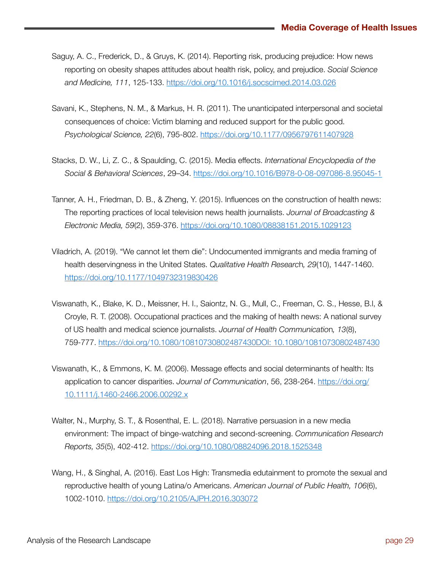- Saguy, A. C., Frederick, D., & Gruys, K. (2014). Reporting risk, producing prejudice: How news reporting on obesity shapes attitudes about health risk, policy, and prejudice. *Social Science and Medicine, 111*, 125-133.<https://doi.org/10.1016/j.socscimed.2014.03.026>
- Savani, K., Stephens, N. M., & Markus, H. R. (2011). The unanticipated interpersonal and societal consequences of choice: Victim blaming and reduced support for the public good. *Psychological Science, 22*(6), 795-802.<https://doi.org/10.1177/0956797611407928>
- Stacks, D. W., Li, Z. C., & Spaulding, C. (2015). Media effects. *International Encyclopedia of the Social & Behavioral Sciences*, 29–34. <https://doi.org/10.1016/B978-0-08-097086-8.95045-1>
- Tanner, A. H., Friedman, D. B., & Zheng, Y. (2015). Influences on the construction of health news: The reporting practices of local television news health journalists. *Journal of Broadcasting & Electronic Media, 59*(2), 359-376.<https://doi.org/10.1080/08838151.2015.1029123>
- Viladrich, A. (2019). "We cannot let them die": Undocumented immigrants and media framing of health deservingness in the United States. *Qualitative Health Researc*h*, 29*(10), 1447-1460. <https://doi.org/10.1177/1049732319830426>
- Viswanath, K., Blake, K. D., Meissner, H. I., Saiontz, N. G., Mull, C., Freeman, C. S., Hesse, B.l, & Croyle, R. T. (2008). Occupational practices and the making of health news: A national survey of US health and medical science journalists. *Journal of Health Communicatio*n*, 13*(8), 759-777. [https://doi.org/10.1080/10810730802487430DOI: 10.1080/10810730802487430](https://doi.org/10.1080/10810730802487430)
- Viswanath, K., & Emmons, K. M. (2006). Message effects and social determinants of health: Its application to cancer disparities. *Journal of Communication*, 56, 238-264. [https://doi.org/](https://doi.org/10.1111/j.1460-2466.2006.00292.x) [10.1111/j.1460-2466.2006.00292.x](https://doi.org/10.1111/j.1460-2466.2006.00292.x)
- Walter, N., Murphy, S. T., & Rosenthal, E. L. (2018). Narrative persuasion in a new media environment: The impact of binge-watching and second-screening. *Communication Research Reports, 35*(5), 402-412. [https://doi.org/10.1080/08824096.2018.1525348](https://do)
- Wang, H., & Singhal, A. (2016). East Los High: Transmedia edutainment to promote the sexual and reproductive health of young Latina/o Americans. *American Journal of Public Health, 106*(6), 1002-1010.<https://doi.org/10.2105/AJPH.2016.303072>